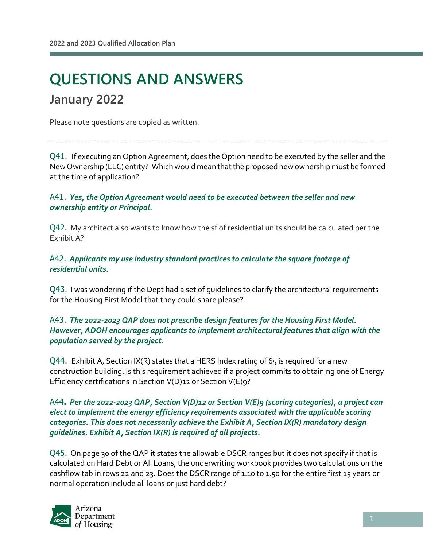l

# **QUESTIONS AND ANSWERS January 2022**

Please note questions are copied as written.

Q41. If executing an Option Agreement, does the Option need to be executed by the seller and the New Ownership (LLC) entity? Which would mean that the proposed new ownership must be formed at the time of application?

### A41. *Yes, the Option Agreement would need to be executed between the seller and new ownership entity or Principal.*

Q42. My architect also wants to know how the sf of residential units should be calculated per the Exhibit A?

A42. *Applicants my use industry standard practices to calculate the square footage of residential units.*

Q43. I was wondering if the Dept had a set of guidelines to clarify the architectural requirements for the Housing First Model that they could share please?

### A43. *The 2022-2023 QAP does not prescribe design features for the Housing First Model. However, ADOH encourages applicants to implement architectural features that align with the population served by the project.*

 $Q44.$  Exhibit A, Section IX(R) states that a HERS Index rating of 65 is required for a new construction building. Is this requirement achieved if a project commits to obtaining one of Energy Efficiency certifications in Section V(D)12 or Section V(E)9?

### A44**.** *Per the 2022-2023 QAP, Section V(D)12 or Section V(E)9 (scoring categories), a project can elect to implement the energy efficiency requirements associated with the applicable scoring categories. This does not necessarily achieve the Exhibit A, Section IX(R) mandatory design guidelines. Exhibit A, Section IX(R) is required of all projects.*

Q45. On page 30 of the QAP it states the allowable DSCR ranges but it does not specify if that is calculated on Hard Debt or All Loans, the underwriting workbook provides two calculations on the cashflow tab in rows 22 and 23. Does the DSCR range of 1.10 to 1.50 for the entire first 15 years or normal operation include all loans or just hard debt?

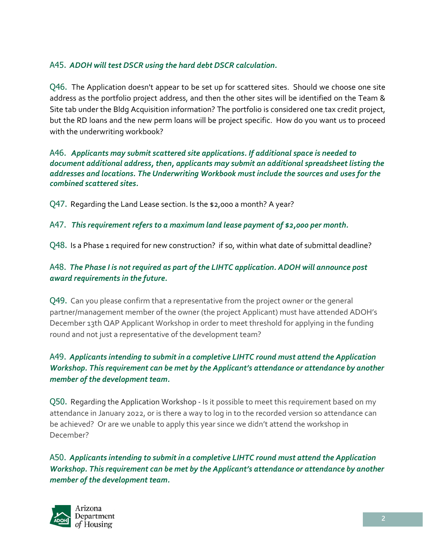# A45. *ADOH will test DSCR using the hard debt DSCR calculation.*

Q46. The Application doesn't appear to be set up for scattered sites. Should we choose one site address as the portfolio project address, and then the other sites will be identified on the Team & Site tab under the Bldg Acquisition information? The portfolio is considered one tax credit project, but the RD loans and the new perm loans will be project specific. How do you want us to proceed with the underwriting workbook?

A46. *Applicants may submit scattered site applications. If additional space is needed to document additional address, then, applicants may submit an additional spreadsheet listing the addresses and locations. The Underwriting Workbook must include the sources and uses for the combined scattered sites.* 

Q47. Regarding the Land Lease section. Is the \$2,000 a month? A year?

A47. *This requirement refers to a maximum land lease payment of \$2,000 per month.* 

Q48. Is a Phase 1 required for new construction? If so, within what date of submittal deadline?

# A48. *The Phase I is not required as part of the LIHTC application. ADOH will announce post award requirements in the future.*

Q49. Can you please confirm that a representative from the project owner or the general partner/management member of the owner (the project Applicant) must have attended ADOH's December 13th QAP Applicant Workshop in order to meet threshold for applying in the funding round and not just a representative of the development team?

# A49. *Applicants intending to submit in a completive LIHTC round must attend the Application Workshop. This requirement can be met by the Applicant's attendance or attendance by another member of the development team.*

Q50. Regarding the Application Workshop - Is it possible to meet this requirement based on my attendance in January 2022, or is there a way to log in to the recorded version so attendance can be achieved? Or are we unable to apply this year since we didn't attend the workshop in December?

A50. *Applicants intending to submit in a completive LIHTC round must attend the Application Workshop. This requirement can be met by the Applicant's attendance or attendance by another member of the development team.*

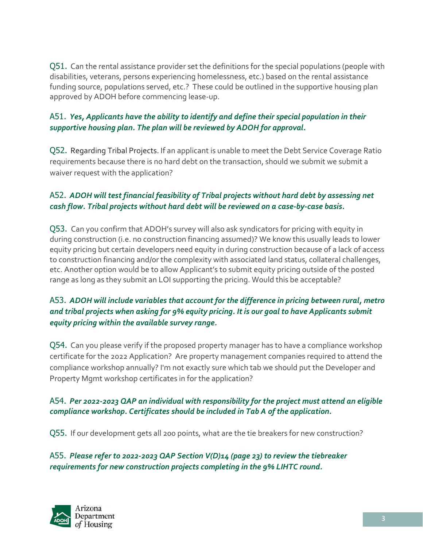Q51. Can the rental assistance provider set the definitions for the special populations (people with disabilities, veterans, persons experiencing homelessness, etc.) based on the rental assistance funding source, populations served, etc.? These could be outlined in the supportive housing plan approved by ADOH before commencing lease-up.

# A51. *Yes, Applicants have the ability to identify and define their special population in their supportive housing plan. The plan will be reviewed by ADOH for approval.*

Q52. Regarding Tribal Projects. If an applicant is unable to meet the Debt Service Coverage Ratio requirements because there is no hard debt on the transaction, should we submit we submit a waiver request with the application?

# A52. *ADOH will test financial feasibility of Tribal projects without hard debt by assessing net cash flow. Tribal projects without hard debt will be reviewed on a case-by-case basis.*

Q53. Can you confirm that ADOH's survey will also ask syndicators for pricing with equity in during construction (i.e. no construction financing assumed)? We know this usually leads to lower equity pricing but certain developers need equity in during construction because of a lack of access to construction financing and/or the complexity with associated land status, collateral challenges, etc. Another option would be to allow Applicant's to submit equity pricing outside of the posted range as long as they submit an LOI supporting the pricing. Would this be acceptable?

# A53. *ADOH will include variables that account for the difference in pricing between rural, metro and tribal projects when asking for 9% equity pricing. It is our goal to have Applicants submit equity pricing within the available survey range.*

Q54. Can you please verify if the proposed property manager has to have a compliance workshop certificate for the 2022 Application? Are property management companies required to attend the compliance workshop annually? I'm not exactly sure which tab we should put the Developer and Property Mgmt workshop certificates in for the application?

## A54. *Per 2022-2023 QAP an individual with responsibility for the project must attend an eligible compliance workshop. Certificates should be included in Tab A of the application.*

Q55. If our development gets all 200 points, what are the tie breakers for new construction?

A55. *Please refer to 2022-2023 QAP Section V(D)14 (page 23) to review the tiebreaker requirements for new construction projects completing in the 9% LIHTC round.*